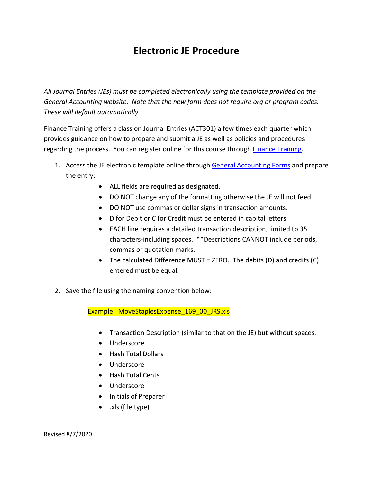## **Electronic JE Procedure**

*All Journal Entries (JEs) must be completed electronically using the template provided on the General Accounting website. Note that the new form does not require org or program codes. These will default automatically.*

Finance Training offers a class on Journal Entries (ACT301) a few times each quarter which provides guidance on how to prepare and submit a JE as well as policies and procedures regarding the process. You can register online for this course through [Finance Training.](http://uncw.edu/financetraining/)

- 1. Access the JE electronic template online throug[h General Accounting](http://uncw.edu/genaccoun/forms.html) Forms and prepare the entry:
	- ALL fields are required as designated.
	- DO NOT change any of the formatting otherwise the JE will not feed.
	- DO NOT use commas or dollar signs in transaction amounts.
	- D for Debit or C for Credit must be entered in capital letters.
	- EACH line requires a detailed transaction description, limited to 35 characters-including spaces. \*\*Descriptions CANNOT include periods, commas or quotation marks.
	- The calculated Difference MUST = ZERO. The debits (D) and credits (C) entered must be equal.
- 2. Save the file using the naming convention below:

Example: MoveStaplesExpense 169 00 JRS.xls

- Transaction Description (similar to that on the JE) but without spaces.
- Underscore
- Hash Total Dollars
- Underscore
- Hash Total Cents
- Underscore
- Initials of Preparer
- .xls (file type)